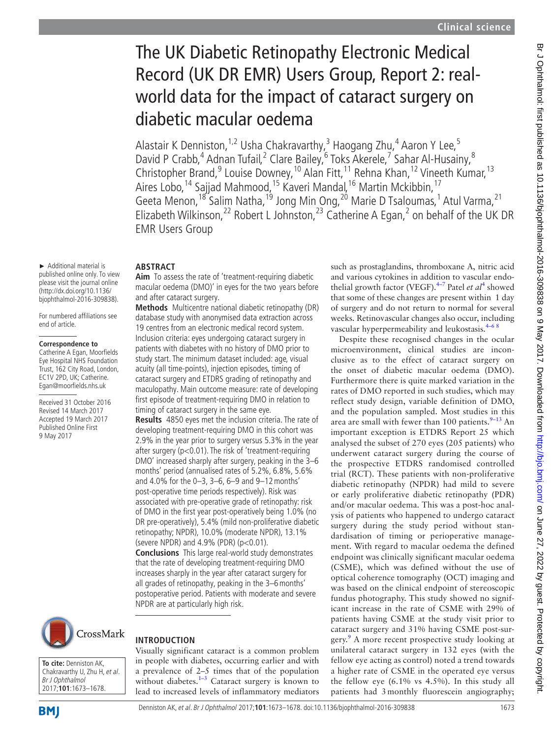# The UK Diabetic Retinopathy Electronic Medical Record (UK DR EMR) Users Group, Report 2: realworld data for the impact of cataract surgery on diabetic macular oedema

Alastair K Denniston, <sup>1,2</sup> Usha Chakravarthy, 3 Haogang Zhu, 4 Aaron Y Lee, 5 David P Crabb,<sup>4</sup> Adnan Tufail,<sup>2</sup> Clare Bailey,<sup>6</sup> Toks Akerele,<sup>7</sup> Sahar Al-Husainy,<sup>8</sup> Christopher Brand,<sup>9</sup> Louise Downey,<sup>10</sup> Alan Fitt,<sup>11</sup> Rehna Khan,<sup>12</sup> Vineeth Kumar,<sup>13</sup> Aires Lobo,<sup>14</sup> Sajjad Mahmood,<sup>15</sup> Kaveri Mandal,<sup>16</sup> Martin Mckibbin,<sup>17</sup> Geeta Menon,<sup>18</sup> Salim Natha,<sup>19</sup> Jong Min Ong,<sup>20</sup> Marie D Tsaloumas,<sup>1</sup> Atul Varma,<sup>21</sup> Elizabeth Wilkinson,<sup>22</sup> Robert L Johnston,<sup>23</sup> Catherine A Egan,<sup>2</sup> on behalf of the UK DR EMR Users Group

## **Abstract**

► Additional material is published online only. To view please visit the journal online (http://dx.doi.org/10.1136/ bjophthalmol-2016-309838). For numbered affiliations see

end of article.

**Correspondence to** Catherine A Egan, Moorfields Eye Hospital NHS Foundation Trust, 162 City Road, London, EC1V 2PD, UK; Catherine. Egan@moorfields.nhs.uk Received 31 October 2016 Revised 14 March 2017 Accepted 19 March 2017 Published Online First 9 May 2017

**Aim** To assess the rate of 'treatment-requiring diabetic macular oedema (DMO)' in eyes for the two years before and after cataract surgery.

**Methods** Multicentre national diabetic retinopathy (DR) database study with anonymised data extraction across 19 centres from an electronic medical record system. Inclusion criteria: eyes undergoing cataract surgery in patients with diabetes with no history of DMO prior to study start. The minimum dataset included: age, visual acuity (all time-points), injection episodes, timing of cataract surgery and ETDRS grading of retinopathy and maculopathy. Main outcome measure: rate of developing first episode of treatment-requiring DMO in relation to timing of cataract surgery in the same eye.

**Results** 4850 eyes met the inclusion criteria. The rate of developing treatment-requiring DMO in this cohort was 2.9% in the year prior to surgery versus 5.3% in the year after surgery (p<0.01). The risk of 'treatment-requiring DMO' increased sharply after surgery, peaking in the 3–6 months' period (annualised rates of 5.2%, 6.8%, 5.6% and 4.0% for the 0–3, 3–6, 6–9 and 9–12months' post-operative time periods respectively). Risk was associated with pre-operative grade of retinopathy: risk of DMO in the first year post-operatively being 1.0% (no DR pre-operatively), 5.4% (mild non-proliferative diabetic retinopathy; NPDR), 10.0% (moderate NPDR), 13.1% (severe NPDR) and  $4.9\%$  (PDR) ( $p < 0.01$ ). **Conclusions** This large real-world study demonstrates that the rate of developing treatment-requiring DMO increases sharply in the year after cataract surgery for all grades of retinopathy, peaking in the 3–6months' postoperative period. Patients with moderate and severe NPDR are at particularly high risk.

CrossMark

**To cite:** Denniston AK, Chakravarthy U, Zhu H, et al. Br J Ophthalmol 2017;**101**:1673–1678.

**BMI** 

## **Introduction**

Visually significant cataract is a common problem in people with diabetes, occurring earlier and with a prevalence of 2–5 times that of the population without diabetes.<sup>1-3</sup> Cataract surgery is known to lead to increased levels of inflammatory mediators such as prostaglandins, thromboxane A, nitric acid and various cytokines in addition to vascular endo-thelial growth factor (VEGF).<sup>[4](#page-5-1)-7</sup> Patel *et al*<sup>4</sup> showed that some of these changes are present within 1 day of surgery and do not return to normal for several weeks. Retinovascular changes also occur, including vascular hyperpermeability and leukostasis.<sup>4-68</sup>

Despite these recognised changes in the ocular microenvironment, clinical studies are inconclusive as to the effect of cataract surgery on the onset of diabetic macular oedema (DMO). Furthermore there is quite marked variation in the rates of DMO reported in such studies, which may reflect study design, variable definition of DMO, and the population sampled. Most studies in this area are small with fewer than 100 patients. $9-13$  An important exception is ETDRS Report 25 which analysed the subset of 270 eyes (205 patients) who underwent cataract surgery during the course of the prospective ETDRS randomised controlled trial (RCT). These patients with non-proliferative diabetic retinopathy (NPDR) had mild to severe or early proliferative diabetic retinopathy (PDR) and/or macular oedema. This was a post-hoc analysis of patients who happened to undergo cataract surgery during the study period without standardisation of timing or perioperative management. With regard to macular oedema the defined endpoint was clinically significant macular oedema (CSME), which was defined without the use of optical coherence tomography (OCT) imaging and was based on the clinical endpoint of stereoscopic fundus photography. This study showed no significant increase in the rate of CSME with 29% of patients having CSME at the study visit prior to cataract surgery and 31% having CSME post-sur-gery.<sup>[9](#page-5-2)</sup> A more recent prospective study looking at unilateral cataract surgery in 132 eyes (with the fellow eye acting as control) noted a trend towards a higher rate of CSME in the operated eye versus the fellow eye (6.1% vs 4.5%). In this study all patients had 3 monthly fluorescein angiography;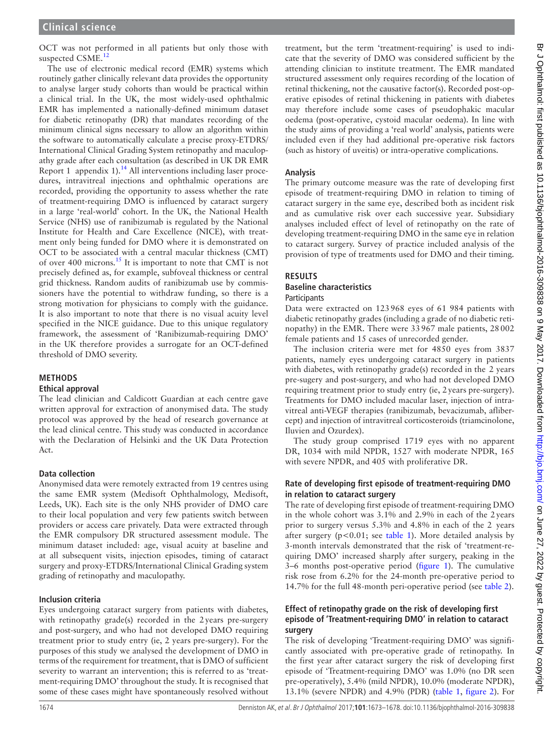OCT was not performed in all patients but only those with suspected CSME.<sup>[12](#page-5-3)</sup>

The use of electronic medical record (EMR) systems which routinely gather clinically relevant data provides the opportunity to analyse larger study cohorts than would be practical within a clinical trial. In the UK, the most widely-used ophthalmic EMR has implemented a nationally-defined minimum dataset for diabetic retinopathy (DR) that mandates recording of the minimum clinical signs necessary to allow an algorithm within the software to automatically calculate a precise proxy-ETDRS/ International Clinical Grading System retinopathy and maculopathy grade after each consultation (as described in UK DR EMR Report 1 [appendix 1](https://dx.doi.org/10.1136/bjophthalmol-2016-309838)).<sup>[14](#page-5-4)</sup> All interventions including laser procedures, intravitreal injections and ophthalmic operations are recorded, providing the opportunity to assess whether the rate of treatment-requiring DMO is influenced by cataract surgery in a large 'real-world' cohort. In the UK, the National Health Service (NHS) use of ranibizumab is regulated by the National Institute for Health and Care Excellence (NICE), with treatment only being funded for DMO where it is demonstrated on OCT to be associated with a central macular thickness (CMT) of over 400 microns.<sup>15</sup> It is important to note that CMT is not precisely defined as, for example, subfoveal thickness or central grid thickness. Random audits of ranibizumab use by commissioners have the potential to withdraw funding, so there is a strong motivation for physicians to comply with the guidance. It is also important to note that there is no visual acuity level specified in the NICE guidance. Due to this unique regulatory framework, the assessment of 'Ranibizumab-requiring DMO' in the UK therefore provides a surrogate for an OCT-defined threshold of DMO severity.

### **Methods**

### **Ethical approval**

The lead clinician and Caldicott Guardian at each centre gave written approval for extraction of anonymised data. The study protocol was approved by the head of research governance at the lead clinical centre. This study was conducted in accordance with the Declaration of Helsinki and the UK Data Protection Act.

## **Data collection**

Anonymised data were remotely extracted from 19 centres using the same EMR system (Medisoft Ophthalmology, Medisoft, Leeds, UK). Each site is the only NHS provider of DMO care to their local population and very few patients switch between providers or access care privately. Data were extracted through the EMR compulsory DR structured assessment module. The minimum dataset included: age, visual acuity at baseline and at all subsequent visits, injection episodes, timing of cataract surgery and proxy-ETDRS/International Clinical Grading system grading of retinopathy and maculopathy.

## **Inclusion criteria**

Eyes undergoing cataract surgery from patients with diabetes, with retinopathy grade(s) recorded in the 2years pre-surgery and post-surgery, and who had not developed DMO requiring treatment prior to study entry (ie, 2 years pre-surgery). For the purposes of this study we analysed the development of DMO in terms of the requirement for treatment, that is DMO of sufficient severity to warrant an intervention; this is referred to as 'treatment-requiring DMO' throughout the study. It is recognised that some of these cases might have spontaneously resolved without

treatment, but the term 'treatment-requiring' is used to indicate that the severity of DMO was considered sufficient by the attending clinician to institute treatment. The EMR mandated structured assessment only requires recording of the location of retinal thickening, not the causative factor(s). Recorded post-operative episodes of retinal thickening in patients with diabetes may therefore include some cases of pseudophakic macular oedema (post-operative, cystoid macular oedema). In line with the study aims of providing a 'real world' analysis, patients were included even if they had additional pre-operative risk factors (such as history of uveitis) or intra-operative complications.

## **Analysis**

The primary outcome measure was the rate of developing first episode of treatment-requiring DMO in relation to timing of cataract surgery in the same eye, described both as incident risk and as cumulative risk over each successive year. Subsidiary analyses included effect of level of retinopathy on the rate of developing treatment-requiring DMO in the same eye in relation to cataract surgery. Survey of practice included analysis of the provision of type of treatments used for DMO and their timing.

## **Results**

## **Baseline characteristics**

## Participants

Data were extracted on 123968 eyes of 61 984 patients with diabetic retinopathy grades (including a grade of no diabetic retinopathy) in the EMR. There were 33967 male patients, 28002 female patients and 15 cases of unrecorded gender.

The inclusion criteria were met for 4850 eyes from 3837 patients, namely eyes undergoing cataract surgery in patients with diabetes, with retinopathy grade(s) recorded in the 2 years pre-sugery and post-surgery, and who had not developed DMO requiring treatment prior to study entry (ie, 2years pre-surgery). Treatments for DMO included macular laser, injection of intravitreal anti-VEGF therapies (ranibizumab, bevacizumab, aflibercept) and injection of intravitreal corticosteroids (triamcinolone, Iluvien and Ozurdex).

The study group comprised 1719 eyes with no apparent DR, 1034 with mild NPDR, 1527 with moderate NPDR, 165 with severe NPDR, and 405 with proliferative DR.

### **Rate of developing first episode of treatment-requiring DMO in relation to cataract surgery**

The rate of developing first episode of treatment-requiring DMO in the whole cohort was 3.1% and 2.9% in each of the 2years prior to surgery versus 5.3% and 4.8% in each of the 2 years after surgery  $(p<0.01$ ; see [table](#page-2-0) 1). More detailed analysis by 3-month intervals demonstrated that the risk of 'treatment-requiring DMO' increased sharply after surgery, peaking in the 3–6 months post-operative period [\(figure](#page-2-1) 1). The cumulative risk rose from 6.2% for the 24-month pre-operative period to 14.7% for the full 48-month peri-operative period (see [table](#page-3-0) 2).

### **Effect of retinopathy grade on the risk of developing first episode of 'Treatment-requiring DMO' in relation to cataract surgery**

The risk of developing 'Treatment-requiring DMO' was significantly associated with pre-operative grade of retinopathy. In the first year after cataract surgery the risk of developing first episode of 'Treatment-requiring DMO' was 1.0% (no DR seen pre-operatively), 5.4% (mild NPDR), 10.0% (moderate NPDR), 13.1% (severe NPDR) and 4.9% (PDR) [\(table](#page-2-0) 1, [figure](#page-3-1) 2). For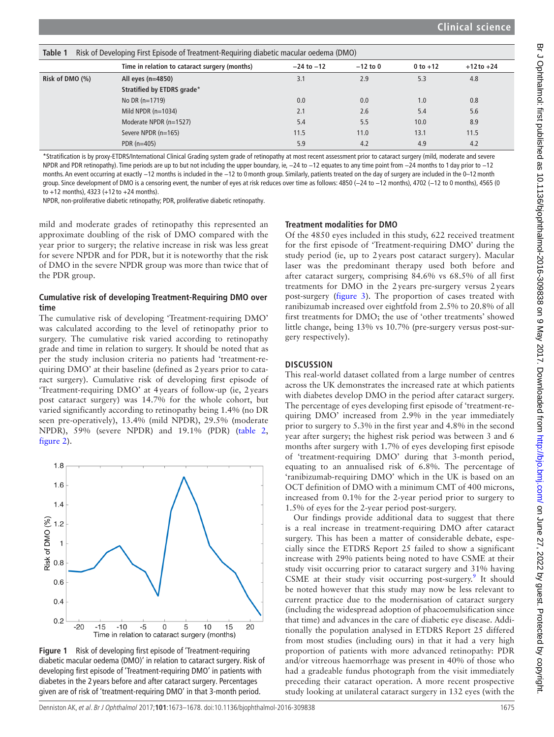<span id="page-2-0"></span>

| Table 1<br>Risk of Developing First Episode of Treatment-Requiring diabetic macular oedema (DMO) |                                               |                |            |            |                |  |  |
|--------------------------------------------------------------------------------------------------|-----------------------------------------------|----------------|------------|------------|----------------|--|--|
|                                                                                                  | Time in relation to cataract surgery (months) | $-24$ to $-12$ | $-12$ to 0 | 0 to $+12$ | $+12$ to $+24$ |  |  |
| Risk of DMO $(\%)$                                                                               | All eyes $(n=4850)$                           | 3.1            | 2.9        | 5.3        | 4.8            |  |  |
|                                                                                                  | Stratified by ETDRS grade*                    |                |            |            |                |  |  |
|                                                                                                  | No DR $(n=1719)$                              | 0.0            | 0.0        | 1.0        | 0.8            |  |  |
|                                                                                                  | Mild NPDR $(n=1034)$                          | 2.1            | 2.6        | 5.4        | 5.6            |  |  |
|                                                                                                  | Moderate NPDR (n=1527)                        | 5.4            | 5.5        | 10.0       | 8.9            |  |  |
|                                                                                                  | Severe NPDR (n=165)                           | 11.5           | 11.0       | 13.1       | 11.5           |  |  |
|                                                                                                  | PDR $(n=405)$                                 | 5.9            | 4.2        | 4.9        | 4.2            |  |  |

\*Stratification is by proxy-ETDRS/International Clinical Grading system grade of retinopathy at most recent assessment prior to cataract surgery (mild, moderate and severe NPDR and PDR retinopathy). Time periods are up to but not including the upper boundary, ie, -24 to -12 equates to any time point from -24 months to 1 day prior to -12 months. An event occurring at exactly −12 months is included in the −12 to 0 month group. Similarly, patients treated on the day of surgery are included in the 0–12 month group. Since development of DMO is a censoring event, the number of eyes at risk reduces over time as follows: 4850 (−24 to −12 months), 4702 (−12 to 0 months), 4565 (0 to +12 months), 4323 (+12 to +24 months).

NPDR, non-proliferative diabetic retinopathy; PDR, proliferative diabetic retinopathy.

mild and moderate grades of retinopathy this represented an approximate doubling of the risk of DMO compared with the year prior to surgery; the relative increase in risk was less great for severe NPDR and for PDR, but it is noteworthy that the risk of DMO in the severe NPDR group was more than twice that of the PDR group.

### **Cumulative risk of developing Treatment-Requiring DMO over time**

The cumulative risk of developing 'Treatment-requiring DMO' was calculated according to the level of retinopathy prior to surgery. The cumulative risk varied according to retinopathy grade and time in relation to surgery. It should be noted that as per the study inclusion criteria no patients had 'treatment-requiring DMO' at their baseline (defined as 2years prior to cataract surgery). Cumulative risk of developing first episode of 'Treatment-requiring DMO' at 4years of follow-up (ie, 2years post cataract surgery) was 14.7% for the whole cohort, but varied significantly according to retinopathy being 1.4% (no DR seen pre-operatively), 13.4% (mild NPDR), 29.5% (moderate NPDR), 59% (severe NPDR) and 19.1% (PDR) [\(table](#page-3-0) 2, [figure](#page-3-1) 2).



<span id="page-2-1"></span>**Figure 1** Risk of developing first episode of 'Treatment-requiring diabetic macular oedema (DMO)' in relation to cataract surgery. Risk of developing first episode of 'Treatment-requiring DMO' in patients with diabetes in the 2 years before and after cataract surgery. Percentages given are of risk of 'treatment-requiring DMO' in that 3-month period.

#### **Treatment modalities for DMO**

Of the 4850 eyes included in this study, 622 received treatment for the first episode of 'Treatment-requiring DMO' during the study period (ie, up to 2years post cataract surgery). Macular laser was the predominant therapy used both before and after cataract surgery, comprising 84.6% vs 68.5% of all first treatments for DMO in the 2years pre-surgery versus 2years post-surgery ([figure](#page-3-2) 3). The proportion of cases treated with ranibizumab increased over eightfold from 2.5% to 20.8% of all first treatments for DMO; the use of 'other treatments' showed little change, being 13% vs 10.7% (pre-surgery versus post-surgery respectively).

#### **Discussion**

This real-world dataset collated from a large number of centres across the UK demonstrates the increased rate at which patients with diabetes develop DMO in the period after cataract surgery. The percentage of eyes developing first episode of 'treatment-requiring DMO' increased from 2.9% in the year immediately prior to surgery to 5.3% in the first year and 4.8% in the second year after surgery; the highest risk period was between 3 and 6 months after surgery with 1.7% of eyes developing first episode of 'treatment-requiring DMO' during that 3-month period, equating to an annualised risk of 6.8%. The percentage of 'ranibizumab-requiring DMO' which in the UK is based on an OCT definition of DMO with a minimum CMT of 400 microns, increased from 0.1% for the 2-year period prior to surgery to 1.5% of eyes for the 2-year period post-surgery.

Our findings provide additional data to suggest that there is a real increase in treatment-requiring DMO after cataract surgery. This has been a matter of considerable debate, especially since the ETDRS Report 25 failed to show a significant increase with 29% patients being noted to have CSME at their study visit occurring prior to cataract surgery and 31% having CSME at their study visit occurring post-surgery.<sup>[9](#page-5-2)</sup> It should be noted however that this study may now be less relevant to current practice due to the modernisation of cataract surgery (including the widespread adoption of phacoemulsification since that time) and advances in the care of diabetic eye disease. Additionally the population analysed in ETDRS Report 25 differed from most studies (including ours) in that it had a very high proportion of patients with more advanced retinopathy: PDR and/or vitreous haemorrhage was present in 40% of those who had a gradeable fundus photograph from the visit immediately preceding their cataract operation. A more recent prospective study looking at unilateral cataract surgery in 132 eyes (with the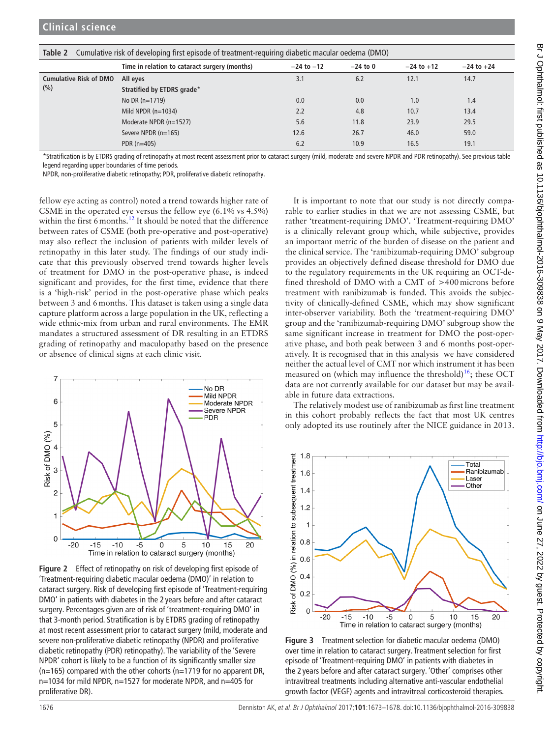<span id="page-3-0"></span>

| Table 2<br>Cumulative risk of developing first episode of treatment-requiring diabetic macular oedema (DMO) |                                               |                |            |                |                |  |  |
|-------------------------------------------------------------------------------------------------------------|-----------------------------------------------|----------------|------------|----------------|----------------|--|--|
|                                                                                                             | Time in relation to cataract surgery (months) | $-24$ to $-12$ | $-24$ to 0 | $-24$ to $+12$ | $-24$ to $+24$ |  |  |
| <b>Cumulative Risk of DMO</b><br>(% )                                                                       | All eyes                                      | 3.1            | 6.2        | 12.1           | 14.7           |  |  |
|                                                                                                             | Stratified by ETDRS grade*                    |                |            |                |                |  |  |
|                                                                                                             | No DR $(n=1719)$                              | 0.0            | 0.0        | 1.0            | 1.4            |  |  |
|                                                                                                             | Mild NPDR $(n=1034)$                          | 2.2            | 4.8        | 10.7           | 13.4           |  |  |
|                                                                                                             | Moderate NPDR (n=1527)                        | 5.6            | 11.8       | 23.9           | 29.5           |  |  |
|                                                                                                             | Severe NPDR (n=165)                           | 12.6           | 26.7       | 46.0           | 59.0           |  |  |
|                                                                                                             | PDR $(n=405)$                                 | 6.2            | 10.9       | 16.5           | 19.1           |  |  |

\*Stratification is by ETDRS grading of retinopathy at most recent assessment prior to cataract surgery (mild, moderate and severe NPDR and PDR retinopathy). See previous table legend regarding upper boundaries of time periods.

NPDR, non-proliferative diabetic retinopathy; PDR, proliferative diabetic retinopathy.

fellow eye acting as control) noted a trend towards higher rate of CSME in the operated eye versus the fellow eye (6.1% vs 4.5%) within the first 6 months.<sup>12</sup> It should be noted that the difference between rates of CSME (both pre-operative and post-operative) may also reflect the inclusion of patients with milder levels of retinopathy in this later study. The findings of our study indicate that this previously observed trend towards higher levels of treatment for DMO in the post-operative phase, is indeed significant and provides, for the first time, evidence that there is a 'high-risk' period in the post-operative phase which peaks between 3 and 6months. This dataset is taken using a single data capture platform across a large population in the UK, reflecting a wide ethnic-mix from urban and rural environments. The EMR mandates a structured assessment of DR resulting in an ETDRS grading of retinopathy and maculopathy based on the presence or absence of clinical signs at each clinic visit.



<span id="page-3-1"></span>**Figure 2** Effect of retinopathy on risk of developing first episode of 'Treatment-requiring diabetic macular oedema (DMO)' in relation to cataract surgery. Risk of developing first episode of 'Treatment-requiring DMO' in patients with diabetes in the 2 years before and after cataract surgery. Percentages given are of risk of 'treatment-requiring DMO' in that 3-month period. Stratification is by ETDRS grading of retinopathy at most recent assessment prior to cataract surgery (mild, moderate and severe non-proliferative diabetic retinopathy (NPDR) and proliferative diabetic retinopathy (PDR) retinopathy). The variability of the 'Severe NPDR' cohort is likely to be a function of its significantly smaller size  $(n=165)$  compared with the other cohorts  $(n=1719)$  for no apparent DR, n=1034 for mild NPDR, n=1527 for moderate NPDR, and n=405 for proliferative DR).

It is important to note that our study is not directly comparable to earlier studies in that we are not assessing CSME, but rather 'treatment-requiring DMO'. 'Treatment-requiring DMO' is a clinically relevant group which, while subjective, provides an important metric of the burden of disease on the patient and the clinical service. The 'ranibizumab-requiring DMO' subgroup provides an objectively defined disease threshold for DMO due to the regulatory requirements in the UK requiring an OCT-defined threshold of DMO with a CMT of >400microns before treatment with ranibizumab is funded. This avoids the subjectivity of clinically-defined CSME, which may show significant inter-observer variability. Both the 'treatment-requiring DMO' group and the 'ranibizumab-requiring DMO' subgroup show the same significant increase in treatment for DMO the post-operative phase, and both peak between 3 and 6 months post-operatively. It is recognised that in this analysis we have considered neither the actual level of CMT nor which instrument it has been measured on (which may influence the threshold)<sup>[16](#page-5-6)</sup>; these OCT data are not currently available for our dataset but may be available in future data extractions.

The relatively modest use of ranibizumab as first line treatment in this cohort probably reflects the fact that most UK centres only adopted its use routinely after the NICE guidance in 2013.



<span id="page-3-2"></span>**Figure 3** Treatment selection for diabetic macular oedema (DMO) over time in relation to cataract surgery. Treatment selection for first episode of 'Treatment-requiring DMO' in patients with diabetes in the 2 years before and after cataract surgery. 'Other' comprises other intravitreal treatments including alternative anti-vascular endothelial growth factor (VEGF) agents and intravitreal corticosteroid therapies.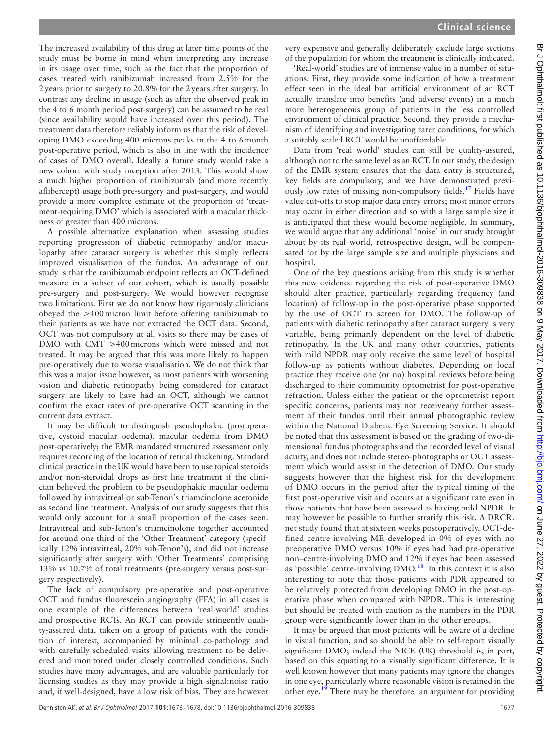The increased availability of this drug at later time points of the study must be borne in mind when interpreting any increase in its usage over time, such as the fact that the proportion of cases treated with ranibizumab increased from 2.5% for the 2years prior to surgery to 20.8% for the 2years after surgery. In contrast any decline in usage (such as after the observed peak in the 4 to 6 month period post-surgery) can be assumed to be real (since availability would have increased over this period). The treatment data therefore reliably inform us that the risk of developing DMO exceeding 400 microns peaks in the 4 to 6month post-operative period, which is also in line with the incidence of cases of DMO overall. Ideally a future study would take a new cohort with study inception after 2013. This would show a much higher proportion of ranibizumab (and more recently aflibercept) usage both pre-surgery and post-surgery, and would provide a more complete estimate of the proportion of 'treatment-requiring DMO' which is associated with a macular thickness of greater than 400 microns.

A possible alternative explanation when assessing studies reporting progression of diabetic retinopathy and/or maculopathy after cataract surgery is whether this simply reflects improved visualisation of the fundus. An advantage of our study is that the ranibizumab endpoint reflects an OCT-defined measure in a subset of our cohort, which is usually possible pre-surgery and post-surgery. We would however recognise two limitations. First we do not know how rigorously clinicians obeyed the >400micron limit before offering ranibizumab to their patients as we have not extracted the OCT data. Second, OCT was not compulsory at all visits so there may be cases of DMO with CMT >400microns which were missed and not treated. It may be argued that this was more likely to happen pre-operatively due to worse visualisation. We do not think that this was a major issue however, as most patients with worsening vision and diabetic retinopathy being considered for cataract surgery are likely to have had an OCT, although we cannot confirm the exact rates of pre-operative OCT scanning in the current data extract.

It may be difficult to distinguish pseudophakic (postoperative, cystoid macular oedema), macular oedema from DMO post-operatively; the EMR mandated structured assessment only requires recording of the location of retinal thickening. Standard clinical practice in the UK would have been to use topical steroids and/or non-steroidal drops as first line treatment if the clinician believed the problem to be pseudophakic macular oedema followed by intravitreal or sub-Tenon's triamcinolone acetonide as second line treatment. Analysis of our study suggests that this would only account for a small proportion of the cases seen. Intravitreal and sub-Tenon's triamcinolone together accounted for around one-third of the 'Other Treatment' category (specifically 12% intravitreal, 20% sub-Tenon's), and did not increase significantly after surgery with 'Other Treatments' comprising 13% vs 10.7% of total treatments (pre-surgery versus post-surgery respectively).

The lack of compulsory pre-operative and post-operative OCT and fundus fluorescein angiography (FFA) in all cases is one example of the differences between 'real-world' studies and prospective RCTs. An RCT can provide stringently quality-assured data, taken on a group of patients with the condition of interest, accompanied by minimal co-pathology and with carefully scheduled visits allowing treatment to be delivered and monitored under closely controlled conditions. Such studies have many advantages, and are valuable particularly for licensing studies as they may provide a high signal:noise ratio and, if well-designed, have a low risk of bias. They are however

very expensive and generally deliberately exclude large sections of the population for whom the treatment is clinically indicated.

'Real-world' studies are of immense value in a number of situations. First, they provide some indication of how a treatment effect seen in the ideal but artificial environment of an RCT actually translate into benefits (and adverse events) in a much more heterogeneous group of patients in the less controlled environment of clinical practice. Second, they provide a mechanism of identifying and investigating rarer conditions, for which a suitably scaled RCT would be unaffordable.

Data from 'real world' studies can still be quality-assured, although not to the same level as an RCT. In our study, the design of the EMR system ensures that the data entry is structured, key fields are compulsory, and we have demonstrated previously low rates of missing non-compulsory fields[.17](#page-5-7) Fields have value cut-offs to stop major data entry errors; most minor errors may occur in either direction and so with a large sample size it is anticipated that these would become negligible. In summary, we would argue that any additional 'noise' in our study brought about by its real world, retrospective design, will be compensated for by the large sample size and multiple physicians and hospital.

One of the key questions arising from this study is whether this new evidence regarding the risk of post-operative DMO should alter practice, particularly regarding frequency (and location) of follow-up in the post-operative phase supported by the use of OCT to screen for DMO. The follow-up of patients with diabetic retinopathy after cataract surgery is very variable, being primarily dependent on the level of diabetic retinopathy. In the UK and many other countries, patients with mild NPDR may only receive the same level of hospital follow-up as patients without diabetes. Depending on local practice they receive one (or no) hospital reviews before being discharged to their community optometrist for post-operative refraction. Unless either the patient or the optometrist report specific concerns, patients may not receiveany further assessment of their fundus until their annual photographic review within the National Diabetic Eye Screening Service. It should be noted that this assessment is based on the grading of two-dimensional fundus photographs and the recorded level of visual acuity, and does not include stereo-photographs or OCT assessment which would assist in the detection of DMO. Our study suggests however that the highest risk for the development of DMO occurs in the period after the typical timing of the first post-operative visit and occurs at a significant rate even in those patients that have been assessed as having mild NPDR. It may however be possible to further stratify this risk. A DRCR. net study found that at sixteen weeks postoperatively, OCT-defined centre-involving ME developed in 0% of eyes with no preoperative DMO versus 10% if eyes had had pre-operative non–centre-involving DMO and 12% if eyes had been assessed as 'possible' centre-involving  $DMO.<sup>18</sup>$  $DMO.<sup>18</sup>$  $DMO.<sup>18</sup>$  In this context it is also interesting to note that those patients with PDR appeared to be relatively protected from developing DMO in the post-operative phase when compared with NPDR. This is interesting but should be treated with caution as the numbers in the PDR group were significantly lower than in the other groups.

It may be argued that most patients will be aware of a decline in visual function, and so should be able to self-report visually significant DMO; indeed the NICE (UK) threshold is, in part, based on this equating to a visually significant difference. It is well known however that many patients may ignore the changes in one eye, particularly where reasonable vision is retained in the other eye.<sup>19</sup> There may be therefore an argument for providing